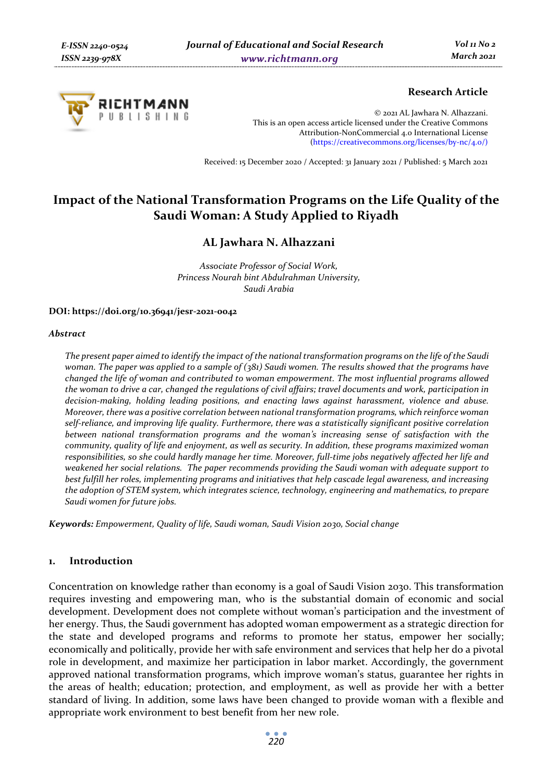

## **Research Article**

© 2021 AL Jawhara N. Alhazzani. This is an open access article licensed under the Creative Commons Attribution-NonCommercial 4.0 International License (https://creativecommons.org/licenses/by-nc/4.0/)

Received: 15 December 2020 / Accepted: 31 January 2021 / Published: 5 March 2021

# **Impact of the National Transformation Programs on the Life Quality of the Saudi Woman: A Study Applied to Riyadh**

## **AL Jawhara N. Alhazzani**

*Associate Professor of Social Work, Princess Nourah bint Abdulrahman University, Saudi Arabia* 

**DOI: https://doi.org/10.36941/jesr-2021-0042** 

#### *Abstract*

*The present paper aimed to identify the impact of the national transformation programs on the life of the Saudi woman. The paper was applied to a sample of (381) Saudi women. The results showed that the programs have changed the life of woman and contributed to woman empowerment. The most influential programs allowed the woman to drive a car, changed the regulations of civil affairs; travel documents and work, participation in decision-making, holding leading positions, and enacting laws against harassment, violence and abuse. Moreover, there was a positive correlation between national transformation programs, which reinforce woman self-reliance, and improving life quality. Furthermore, there was a statistically significant positive correlation between national transformation programs and the woman's increasing sense of satisfaction with the community, quality of life and enjoyment, as well as security. In addition, these programs maximized woman responsibilities, so she could hardly manage her time. Moreover, full-time jobs negatively affected her life and weakened her social relations. The paper recommends providing the Saudi woman with adequate support to best fulfill her roles, implementing programs and initiatives that help cascade legal awareness, and increasing the adoption of STEM system, which integrates science, technology, engineering and mathematics, to prepare Saudi women for future jobs.* 

*Keywords: Empowerment, Quality of life, Saudi woman, Saudi Vision 2030, Social change* 

## **1. Introduction**

Concentration on knowledge rather than economy is a goal of Saudi Vision 2030. This transformation requires investing and empowering man, who is the substantial domain of economic and social development. Development does not complete without woman's participation and the investment of her energy. Thus, the Saudi government has adopted woman empowerment as a strategic direction for the state and developed programs and reforms to promote her status, empower her socially; economically and politically, provide her with safe environment and services that help her do a pivotal role in development, and maximize her participation in labor market. Accordingly, the government approved national transformation programs, which improve woman's status, guarantee her rights in the areas of health; education; protection, and employment, as well as provide her with a better standard of living. In addition, some laws have been changed to provide woman with a flexible and appropriate work environment to best benefit from her new role.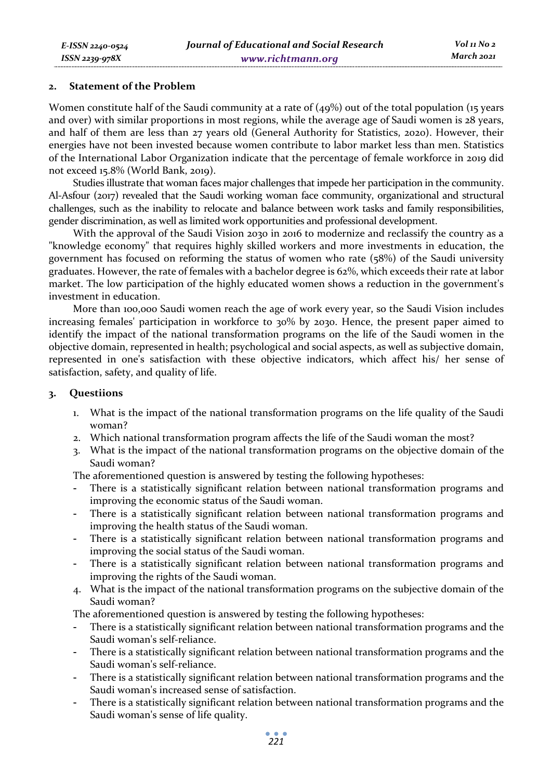#### **2. Statement of the Problem**

Women constitute half of the Saudi community at a rate of  $(49%)$  out of the total population (15 years and over) with similar proportions in most regions, while the average age of Saudi women is 28 years, and half of them are less than 27 years old (General Authority for Statistics, 2020). However, their energies have not been invested because women contribute to labor market less than men. Statistics of the International Labor Organization indicate that the percentage of female workforce in 2019 did not exceed 15.8% (World Bank, 2019).

Studies illustrate that woman faces major challenges that impede her participation in the community. Al-Asfour (2017) revealed that the Saudi working woman face community, organizational and structural challenges, such as the inability to relocate and balance between work tasks and family responsibilities, gender discrimination, as well as limited work opportunities and professional development.

With the approval of the Saudi Vision 2030 in 2016 to modernize and reclassify the country as a "knowledge economy" that requires highly skilled workers and more investments in education, the government has focused on reforming the status of women who rate (58%) of the Saudi university graduates. However, the rate of females with a bachelor degree is 62%, which exceeds their rate at labor market. The low participation of the highly educated women shows a reduction in the government's investment in education.

More than 100,000 Saudi women reach the age of work every year, so the Saudi Vision includes increasing females' participation in workforce to 30% by 2030. Hence, the present paper aimed to identify the impact of the national transformation programs on the life of the Saudi women in the objective domain, represented in health; psychological and social aspects, as well as subjective domain, represented in one's satisfaction with these objective indicators, which affect his/ her sense of satisfaction, safety, and quality of life.

## **3. Questiions**

- 1. What is the impact of the national transformation programs on the life quality of the Saudi woman?
- 2. Which national transformation program affects the life of the Saudi woman the most?
- 3. What is the impact of the national transformation programs on the objective domain of the Saudi woman?

The aforementioned question is answered by testing the following hypotheses:

- There is a statistically significant relation between national transformation programs and improving the economic status of the Saudi woman.
- There is a statistically significant relation between national transformation programs and improving the health status of the Saudi woman.
- There is a statistically significant relation between national transformation programs and improving the social status of the Saudi woman.
- There is a statistically significant relation between national transformation programs and improving the rights of the Saudi woman.
- 4. What is the impact of the national transformation programs on the subjective domain of the Saudi woman?

The aforementioned question is answered by testing the following hypotheses:

- There is a statistically significant relation between national transformation programs and the Saudi woman's self-reliance.
- There is a statistically significant relation between national transformation programs and the Saudi woman's self-reliance.
- There is a statistically significant relation between national transformation programs and the Saudi woman's increased sense of satisfaction.
- There is a statistically significant relation between national transformation programs and the Saudi woman's sense of life quality.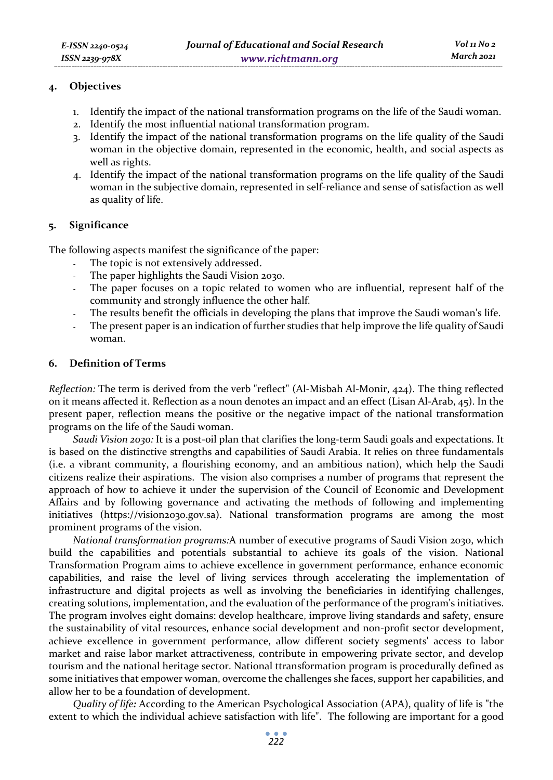## **4. Objectives**

- 1. Identify the impact of the national transformation programs on the life of the Saudi woman.
- 2. Identify the most influential national transformation program.
- 3. Identify the impact of the national transformation programs on the life quality of the Saudi woman in the objective domain, represented in the economic, health, and social aspects as well as rights.
- 4. Identify the impact of the national transformation programs on the life quality of the Saudi woman in the subjective domain, represented in self-reliance and sense of satisfaction as well as quality of life.

## **5. Significance**

The following aspects manifest the significance of the paper:

- The topic is not extensively addressed.
- The paper highlights the Saudi Vision 2030.
- The paper focuses on a topic related to women who are influential, represent half of the community and strongly influence the other half.
- The results benefit the officials in developing the plans that improve the Saudi woman's life.
- The present paper is an indication of further studies that help improve the life quality of Saudi woman.

## **6. Definition of Terms**

*Reflection:* The term is derived from the verb "reflect" (Al-Misbah Al-Monir, 424). The thing reflected on it means affected it. Reflection as a noun denotes an impact and an effect (Lisan Al-Arab, 45). In the present paper, reflection means the positive or the negative impact of the national transformation programs on the life of the Saudi woman.

*Saudi Vision 2030:* It is a post-oil plan that clarifies the long-term Saudi goals and expectations. It is based on the distinctive strengths and capabilities of Saudi Arabia. It relies on three fundamentals (i.e. a vibrant community, a flourishing economy, and an ambitious nation), which help the Saudi citizens realize their aspirations. The vision also comprises a number of programs that represent the approach of how to achieve it under the supervision of the Council of Economic and Development Affairs and by following governance and activating the methods of following and implementing initiatives (https://vision2030.gov.sa). National transformation programs are among the most prominent programs of the vision.

*National transformation programs:*A number of executive programs of Saudi Vision 2030, which build the capabilities and potentials substantial to achieve its goals of the vision. National Transformation Program aims to achieve excellence in government performance, enhance economic capabilities, and raise the level of living services through accelerating the implementation of infrastructure and digital projects as well as involving the beneficiaries in identifying challenges, creating solutions, implementation, and the evaluation of the performance of the program's initiatives. The program involves eight domains: develop healthcare, improve living standards and safety, ensure the sustainability of vital resources, enhance social development and non-profit sector development, achieve excellence in government performance, allow different society segments' access to labor market and raise labor market attractiveness, contribute in empowering private sector, and develop tourism and the national heritage sector. National ttransformation program is procedurally defined as some initiatives that empower woman, overcome the challenges she faces, support her capabilities, and allow her to be a foundation of development.

*Quality of life:* According to the American Psychological Association (APA), quality of life is "the extent to which the individual achieve satisfaction with life". The following are important for a good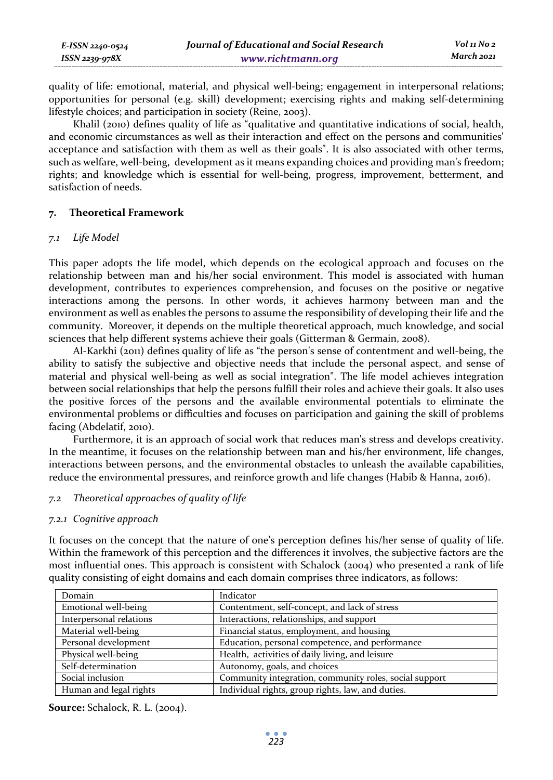quality of life: emotional, material, and physical well-being; engagement in interpersonal relations; opportunities for personal (e.g. skill) development; exercising rights and making self-determining lifestyle choices; and participation in society (Reine, 2003).

Khalil (2010) defines quality of life as "qualitative and quantitative indications of social, health, and economic circumstances as well as their interaction and effect on the persons and communities' acceptance and satisfaction with them as well as their goals". It is also associated with other terms, such as welfare, well-being, development as it means expanding choices and providing man's freedom; rights; and knowledge which is essential for well-being, progress, improvement, betterment, and satisfaction of needs.

## **7. Theoretical Framework**

### *7.1 Life Model*

This paper adopts the life model, which depends on the ecological approach and focuses on the relationship between man and his/her social environment. This model is associated with human development, contributes to experiences comprehension, and focuses on the positive or negative interactions among the persons. In other words, it achieves harmony between man and the environment as well as enables the persons to assume the responsibility of developing their life and the community. Moreover, it depends on the multiple theoretical approach, much knowledge, and social sciences that help different systems achieve their goals (Gitterman & Germain, 2008).

Al-Karkhi (2011) defines quality of life as "the person's sense of contentment and well-being, the ability to satisfy the subjective and objective needs that include the personal aspect, and sense of material and physical well-being as well as social integration". The life model achieves integration between social relationships that help the persons fulfill their roles and achieve their goals. It also uses the positive forces of the persons and the available environmental potentials to eliminate the environmental problems or difficulties and focuses on participation and gaining the skill of problems facing (Abdelatif, 2010).

Furthermore, it is an approach of social work that reduces man's stress and develops creativity. In the meantime, it focuses on the relationship between man and his/her environment, life changes, interactions between persons, and the environmental obstacles to unleash the available capabilities, reduce the environmental pressures, and reinforce growth and life changes (Habib & Hanna, 2016).

## *7.2 Theoretical approaches of quality of life*

## *7.2.1 Cognitive approach*

It focuses on the concept that the nature of one's perception defines his/her sense of quality of life. Within the framework of this perception and the differences it involves, the subjective factors are the most influential ones. This approach is consistent with Schalock (2004) who presented a rank of life quality consisting of eight domains and each domain comprises three indicators, as follows:

| Domain                  | Indicator                                              |
|-------------------------|--------------------------------------------------------|
| Emotional well-being    | Contentment, self-concept, and lack of stress          |
| Interpersonal relations | Interactions, relationships, and support               |
| Material well-being     | Financial status, employment, and housing              |
| Personal development    | Education, personal competence, and performance        |
| Physical well-being     | Health, activities of daily living, and leisure        |
| Self-determination      | Autonomy, goals, and choices                           |
| Social inclusion        | Community integration, community roles, social support |
| Human and legal rights  | Individual rights, group rights, law, and duties.      |

**Source:** Schalock, R. L. (2004).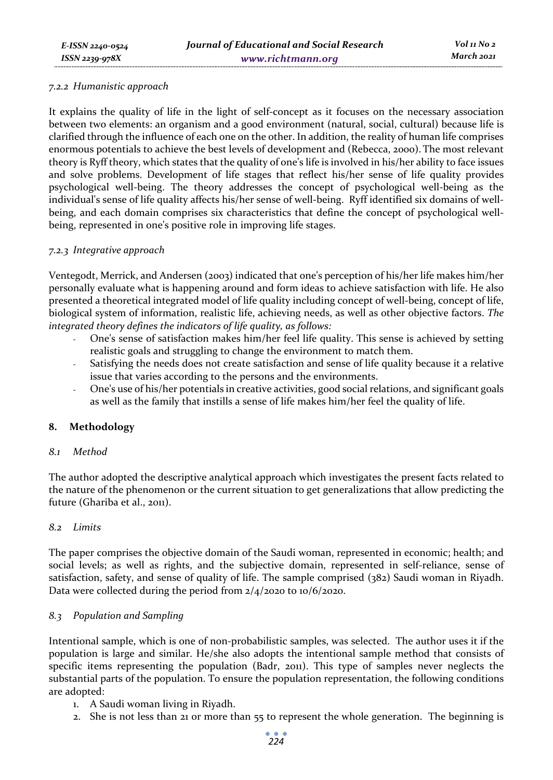#### *7.2.2 Humanistic approach*

It explains the quality of life in the light of self-concept as it focuses on the necessary association between two elements: an organism and a good environment (natural, social, cultural) because life is clarified through the influence of each one on the other. In addition, the reality of human life comprises enormous potentials to achieve the best levels of development and (Rebecca, 2000). The most relevant theory is Ryff theory, which states that the quality of one's life is involved in his/her ability to face issues and solve problems. Development of life stages that reflect his/her sense of life quality provides psychological well-being. The theory addresses the concept of psychological well-being as the individual's sense of life quality affects his/her sense of well-being. Ryff identified six domains of wellbeing, and each domain comprises six characteristics that define the concept of psychological wellbeing, represented in one's positive role in improving life stages.

### *7.2.3 Integrative approach*

Ventegodt, Merrick, and Andersen (2003) indicated that one's perception of his/her life makes him/her personally evaluate what is happening around and form ideas to achieve satisfaction with life. He also presented a theoretical integrated model of life quality including concept of well-being, concept of life, biological system of information, realistic life, achieving needs, as well as other objective factors. *The integrated theory defines the indicators of life quality, as follows:* 

- One's sense of satisfaction makes him/her feel life quality. This sense is achieved by setting realistic goals and struggling to change the environment to match them.
- Satisfying the needs does not create satisfaction and sense of life quality because it a relative issue that varies according to the persons and the environments.
- One's use of his/her potentials in creative activities, good social relations, and significant goals as well as the family that instills a sense of life makes him/her feel the quality of life.

## **8. Methodology**

#### *8.1 Method*

The author adopted the descriptive analytical approach which investigates the present facts related to the nature of the phenomenon or the current situation to get generalizations that allow predicting the future (Ghariba et al., 2011).

#### *8.2 Limits*

The paper comprises the objective domain of the Saudi woman, represented in economic; health; and social levels; as well as rights, and the subjective domain, represented in self-reliance, sense of satisfaction, safety, and sense of quality of life. The sample comprised (382) Saudi woman in Riyadh. Data were collected during the period from 2/4/2020 to 10/6/2020.

## *8.3 Population and Sampling*

Intentional sample, which is one of non-probabilistic samples, was selected. The author uses it if the population is large and similar. He/she also adopts the intentional sample method that consists of specific items representing the population (Badr, 2011). This type of samples never neglects the substantial parts of the population. To ensure the population representation, the following conditions are adopted:

- 1. A Saudi woman living in Riyadh.
- 2. She is not less than 21 or more than 55 to represent the whole generation. The beginning is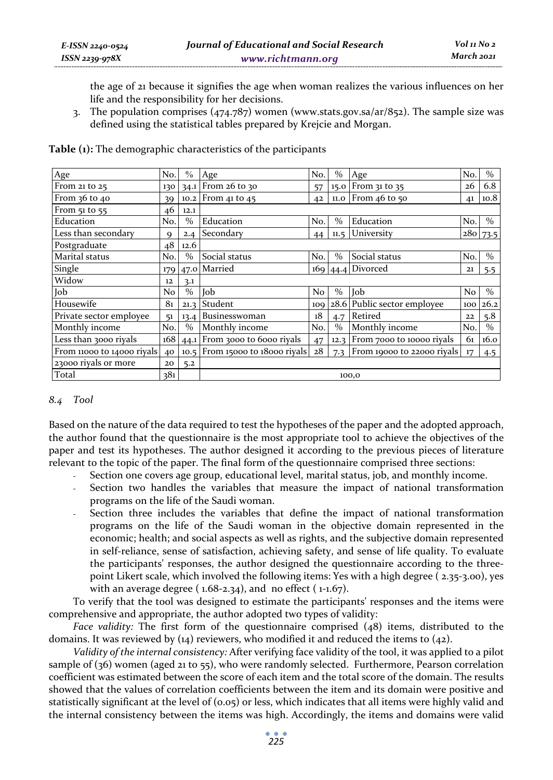the age of 21 because it signifies the age when woman realizes the various influences on her life and the responsibility for her decisions.

3. The population comprises  $(474.787)$  women (www.stats.gov.sa/ar/852). The sample size was defined using the statistical tables prepared by Krejcie and Morgan.

| Age                        | No.            | $\%$          | Age                        | No.            | $\%$          | Age                         | No. | $\frac{0}{0}$ |  |  |
|----------------------------|----------------|---------------|----------------------------|----------------|---------------|-----------------------------|-----|---------------|--|--|
| From 21 to 25              | 130            | 34.1          | From 26 to 30              | 57             |               | 15.0 From 31 to 35          | 26  | 6.8           |  |  |
| From $36$ to $40$          | 39             |               | 10.2 From 41 to 45         | 42             |               | $11.0$ From 46 to 50        | 41  | 10.8          |  |  |
| From 51 to 55              | 46             | 12.1          |                            |                |               |                             |     |               |  |  |
| Education                  | No.            | $\frac{0}{0}$ | Education                  | No.            | $\frac{0}{0}$ | Education                   | No. | $\frac{0}{0}$ |  |  |
| Less than secondary        | Q              | 2.4           | Secondary                  | 44             | 11.5          | University                  |     | 280 73.5      |  |  |
| Postgraduate               | 48             | 12.6          |                            |                |               |                             |     |               |  |  |
| Marital status             | No.            | $\%$          | Social status              | No.            | $\%$          | Social status               | No. | $\%$          |  |  |
| Single                     |                |               | 179 47.0 Married           | 169            | 44.4          | Divorced                    | 21  | 5.5           |  |  |
| Widow                      | 12             | 3.1           |                            |                |               |                             |     |               |  |  |
| Job                        | N <sub>o</sub> | $\%$          | Job                        | N <sub>o</sub> | $\%$          | Job                         | No  | $\%$          |  |  |
| Housewife                  | 81             | 21.3          | Student                    | 109            |               | 28.6 Public sector employee | 100 | 26.2          |  |  |
| Private sector employee    | 51             | 13.4          | Businesswoman              | 18             | 4.7           | Retired                     | 22  | 5.8           |  |  |
| Monthly income             | No.            | $\%$          | Monthly income             | No.            | $\%$          | Monthly income              | No. | $\%$          |  |  |
| Less than 3000 riyals      | 168            | 44.1          | From 3000 to 6000 riyals   | 47             | 12.3          | From 7000 to 10000 riyals   | 61  | 16.0          |  |  |
| From 11000 to 14000 riyals | 40             | 10.5          | From 15000 to 18000 rivals | 28             | 7.3           | From 19000 to 22000 riyals  | 17  | 4.5           |  |  |
| 23000 riyals or more       | 20             | 5.2           |                            |                |               |                             |     |               |  |  |
| Total                      | 381            |               | 100,0                      |                |               |                             |     |               |  |  |

**Table (1):** The demographic characteristics of the participants

## *8.4 Tool*

Based on the nature of the data required to test the hypotheses of the paper and the adopted approach, the author found that the questionnaire is the most appropriate tool to achieve the objectives of the paper and test its hypotheses. The author designed it according to the previous pieces of literature relevant to the topic of the paper. The final form of the questionnaire comprised three sections:

- Section one covers age group, educational level, marital status, job, and monthly income.
- Section two handles the variables that measure the impact of national transformation programs on the life of the Saudi woman.
- Section three includes the variables that define the impact of national transformation programs on the life of the Saudi woman in the objective domain represented in the economic; health; and social aspects as well as rights, and the subjective domain represented in self-reliance, sense of satisfaction, achieving safety, and sense of life quality. To evaluate the participants' responses, the author designed the questionnaire according to the threepoint Likert scale, which involved the following items: Yes with a high degree ( 2.35-3.00), yes with an average degree ( $1.68-2.34$ ), and no effect ( $1-1.67$ ).

To verify that the tool was designed to estimate the participants' responses and the items were comprehensive and appropriate, the author adopted two types of validity:

*Face validity:* The first form of the questionnaire comprised (48) items, distributed to the domains. It was reviewed by  $(14)$  reviewers, who modified it and reduced the items to  $(42)$ .

*Validity of the internal consistency:* After verifying face validity of the tool, it was applied to a pilot sample of (36) women (aged 21 to 55), who were randomly selected. Furthermore, Pearson correlation coefficient was estimated between the score of each item and the total score of the domain. The results showed that the values of correlation coefficients between the item and its domain were positive and statistically significant at the level of (0.05) or less, which indicates that all items were highly valid and the internal consistency between the items was high. Accordingly, the items and domains were valid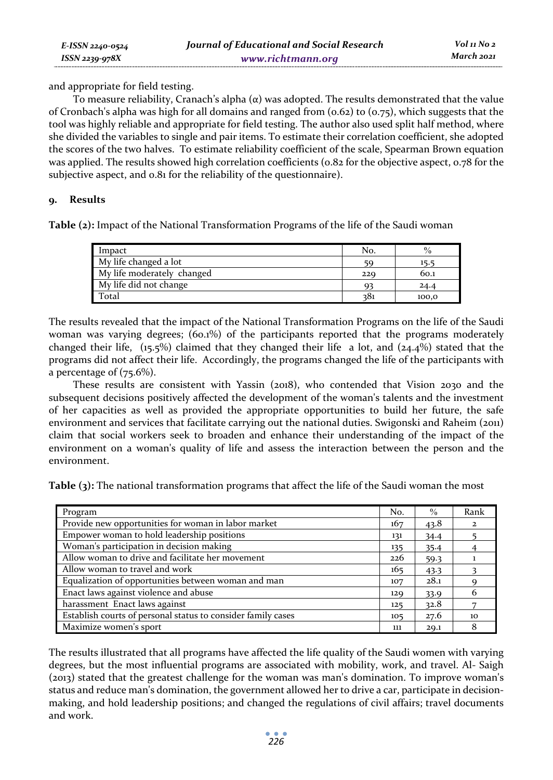and appropriate for field testing.

*E-ISSN 2240-0524 ISSN 2239-978X*

To measure reliability, Cranach's alpha  $(\alpha)$  was adopted. The results demonstrated that the value of Cronbach's alpha was high for all domains and ranged from  $(o.62)$  to  $(o.75)$ , which suggests that the tool was highly reliable and appropriate for field testing. The author also used split half method, where she divided the variables to single and pair items. To estimate their correlation coefficient, she adopted the scores of the two halves. To estimate reliability coefficient of the scale, Spearman Brown equation was applied. The results showed high correlation coefficients (0.82 for the objective aspect, 0.78 for the subjective aspect, and 0.81 for the reliability of the questionnaire).

## **9. Results**

**Table (2):** Impact of the National Transformation Programs of the life of the Saudi woman

| Impact                     | No. | $\frac{0}{0}$ |
|----------------------------|-----|---------------|
| My life changed a lot      | 59  | 15.5          |
| My life moderately changed | 229 | 60.1          |
| My life did not change     | Q?  | 24.4          |
| Total                      | 381 | 100,0         |

The results revealed that the impact of the National Transformation Programs on the life of the Saudi woman was varying degrees; (60.1%) of the participants reported that the programs moderately changed their life,  $(15.5\%)$  claimed that they changed their life a lot, and  $(24.4\%)$  stated that the programs did not affect their life. Accordingly, the programs changed the life of the participants with a percentage of  $(75.6\%)$ .

These results are consistent with Yassin (2018), who contended that Vision 2030 and the subsequent decisions positively affected the development of the woman's talents and the investment of her capacities as well as provided the appropriate opportunities to build her future, the safe environment and services that facilitate carrying out the national duties. Swigonski and Raheim (2011) claim that social workers seek to broaden and enhance their understanding of the impact of the environment on a woman's quality of life and assess the interaction between the person and the environment.

**Table (3):** The national transformation programs that affect the life of the Saudi woman the most

| Program                                                      | No. | $\frac{0}{0}$ | Rank         |
|--------------------------------------------------------------|-----|---------------|--------------|
| Provide new opportunities for woman in labor market          | 167 | 43.8          | $\mathbf{z}$ |
| Empower woman to hold leadership positions                   | 131 | 34.4          |              |
| Woman's participation in decision making                     | 135 | 35.4          |              |
| Allow woman to drive and facilitate her movement             | 226 | 59.3          |              |
| Allow woman to travel and work                               | 165 | 43.3          |              |
| Equalization of opportunities between woman and man          | 107 | 28.1          |              |
| Enact laws against violence and abuse                        | 129 | 33.9          |              |
| harassment Enact laws against                                | 125 | 32.8          |              |
| Establish courts of personal status to consider family cases | 105 | 27.6          | 10           |
| Maximize women's sport                                       | 111 | 29.1          |              |

The results illustrated that all programs have affected the life quality of the Saudi women with varying degrees, but the most influential programs are associated with mobility, work, and travel. Al- Saigh (2013) stated that the greatest challenge for the woman was man's domination. To improve woman's status and reduce man's domination, the government allowed her to drive a car, participate in decisionmaking, and hold leadership positions; and changed the regulations of civil affairs; travel documents and work.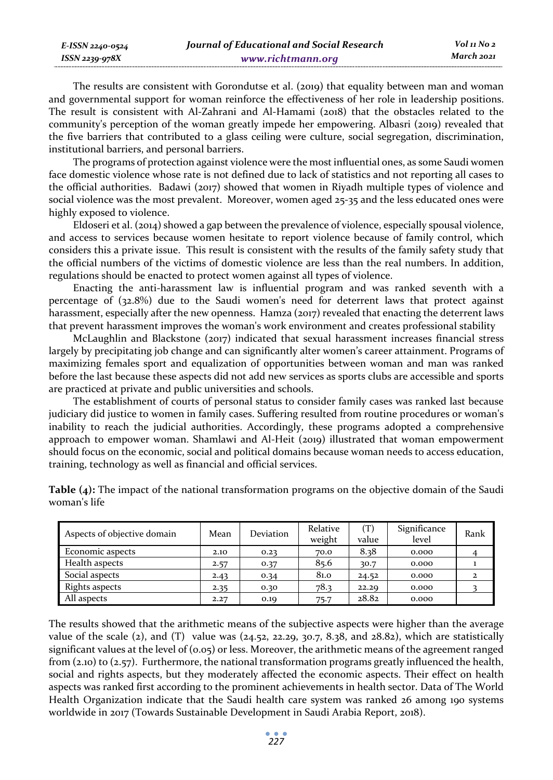*E-ISSN 2240-0524 ISSN 2239-978X*

The results are consistent with Gorondutse et al. (2019) that equality between man and woman and governmental support for woman reinforce the effectiveness of her role in leadership positions. The result is consistent with Al-Zahrani and Al-Hamami (2018) that the obstacles related to the community's perception of the woman greatly impede her empowering. Albasri (2019) revealed that the five barriers that contributed to a glass ceiling were culture, social segregation, discrimination, institutional barriers, and personal barriers.

The programs of protection against violence were the most influential ones, as some Saudi women face domestic violence whose rate is not defined due to lack of statistics and not reporting all cases to the official authorities. Badawi (2017) showed that women in Riyadh multiple types of violence and social violence was the most prevalent. Moreover, women aged 25-35 and the less educated ones were highly exposed to violence.

Eldoseri et al. (2014) showed a gap between the prevalence of violence, especially spousal violence, and access to services because women hesitate to report violence because of family control, which considers this a private issue. This result is consistent with the results of the family safety study that the official numbers of the victims of domestic violence are less than the real numbers. In addition, regulations should be enacted to protect women against all types of violence.

Enacting the anti-harassment law is influential program and was ranked seventh with a percentage of (32.8%) due to the Saudi women's need for deterrent laws that protect against harassment, especially after the new openness. Hamza (2017) revealed that enacting the deterrent laws that prevent harassment improves the woman's work environment and creates professional stability

McLaughlin and Blackstone (2017) indicated that sexual harassment increases financial stress largely by precipitating job change and can significantly alter women's career attainment. Programs of maximizing females sport and equalization of opportunities between woman and man was ranked before the last because these aspects did not add new services as sports clubs are accessible and sports are practiced at private and public universities and schools.

The establishment of courts of personal status to consider family cases was ranked last because judiciary did justice to women in family cases. Suffering resulted from routine procedures or woman's inability to reach the judicial authorities. Accordingly, these programs adopted a comprehensive approach to empower woman. Shamlawi and Al-Heit (2019) illustrated that woman empowerment should focus on the economic, social and political domains because woman needs to access education, training, technology as well as financial and official services.

| Aspects of objective domain | Mean | Deviation | Relative<br>weight | $(\mathrm{T})$<br>value | Significance<br>level | Rank         |
|-----------------------------|------|-----------|--------------------|-------------------------|-----------------------|--------------|
| Economic aspects            | 2.10 | 0.23      | 70.0               | 8.38                    | 0.000                 |              |
| Health aspects              | 2.57 | 0.37      | 85.6               | 30.7                    | 0.000                 |              |
| Social aspects              | 2.43 | 0.34      | 81.0               | 24.52                   | 0.000                 | $\mathbf{2}$ |
| Rights aspects              | 2.35 | 0.30      | 78.3               | 22.29                   | 0.000                 |              |
| All aspects                 | 2.27 | 0.19      | 75.7               | 28.82                   | 0.000                 |              |

**Table (4):** The impact of the national transformation programs on the objective domain of the Saudi woman's life

The results showed that the arithmetic means of the subjective aspects were higher than the average value of the scale (2), and (T) value was (24.52, 22.29, 30.7, 8.38, and 28.82), which are statistically significant values at the level of (0.05) or less. Moreover, the arithmetic means of the agreement ranged from (2.10) to (2.57). Furthermore, the national transformation programs greatly influenced the health, social and rights aspects, but they moderately affected the economic aspects. Their effect on health aspects was ranked first according to the prominent achievements in health sector. Data of The World Health Organization indicate that the Saudi health care system was ranked 26 among 190 systems worldwide in 2017 (Towards Sustainable Development in Saudi Arabia Report, 2018).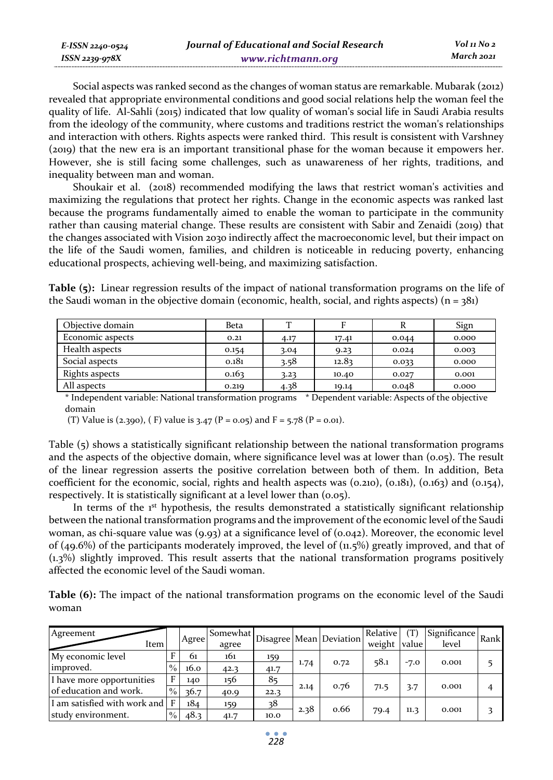| E-ISSN 2240-0524    | Journal of Educational and Social Research | Vol 11 No 2 |
|---------------------|--------------------------------------------|-------------|
| $ISSN$ 2239-97 $8X$ | www.richtmann.org                          | March 2021  |

Social aspects was ranked second as the changes of woman status are remarkable. Mubarak (2012) revealed that appropriate environmental conditions and good social relations help the woman feel the quality of life. Al-Sahli (2015) indicated that low quality of woman's social life in Saudi Arabia results from the ideology of the community, where customs and traditions restrict the woman's relationships and interaction with others. Rights aspects were ranked third. This result is consistent with Varshney (2019) that the new era is an important transitional phase for the woman because it empowers her. However, she is still facing some challenges, such as unawareness of her rights, traditions, and inequality between man and woman.

Shoukair et al. (2018) recommended modifying the laws that restrict woman's activities and maximizing the regulations that protect her rights. Change in the economic aspects was ranked last because the programs fundamentally aimed to enable the woman to participate in the community rather than causing material change. These results are consistent with Sabir and Zenaidi (2019) that the changes associated with Vision 2030 indirectly affect the macroeconomic level, but their impact on the life of the Saudi women, families, and children is noticeable in reducing poverty, enhancing educational prospects, achieving well-being, and maximizing satisfaction.

**Table (5):** Linear regression results of the impact of national transformation programs on the life of the Saudi woman in the objective domain (economic, health, social, and rights aspects)  $(n = 381)$ 

| Objective domain | <b>Beta</b> | ᠇᠇   |       |       | Sign  |
|------------------|-------------|------|-------|-------|-------|
| Economic aspects | 0.21        | 4.17 | 17.41 | 0.044 | 0.000 |
| Health aspects   | 0.154       | 3.04 | 9.23  | 0.024 | 0.003 |
| Social aspects   | 0.181       | 3.58 | 12.83 | 0.033 | 0.000 |
| Rights aspects   | 0.163       | 3.23 | 10.40 | 0.027 | 0.001 |
| All aspects      | 0.219       | 4.38 | 19.14 | 0.048 | 0.000 |

\* Independent variable: National transformation programs \* Dependent variable: Aspects of the objective domain

(T) Value is (2.390), (F) value is 3.47 (P = 0.05) and F = 5.78 (P = 0.01).

Table (5) shows a statistically significant relationship between the national transformation programs and the aspects of the objective domain, where significance level was at lower than  $(0.05)$ . The result of the linear regression asserts the positive correlation between both of them. In addition, Beta coefficient for the economic, social, rights and health aspects was  $(0.210)$ ,  $(0.181)$ ,  $(0.163)$  and  $(0.154)$ , respectively. It is statistically significant at a level lower than (0.05).

In terms of the  $1<sup>st</sup>$  hypothesis, the results demonstrated a statistically significant relationship between the national transformation programs and the improvement of the economic level of the Saudi woman, as chi-square value was (9.93) at a significance level of (0.042). Moreover, the economic level of (49.6%) of the participants moderately improved, the level of  $(n.5%)$  greatly improved, and that of (1.3%) slightly improved. This result asserts that the national transformation programs positively affected the economic level of the Saudi woman.

**Table (6):** The impact of the national transformation programs on the economic level of the Saudi woman

| Agreement<br>Item            |               | Agree | Somewhat<br>agree |      |      | Disagree Mean Deviation | <b>Relative</b><br>weight value | (T)    | $\frac{1}{\sqrt{1-\frac{1}{2}}\sqrt{1-\frac{1}{2}}\sqrt{1-\frac{1}{2}}\sqrt{1-\frac{1}{2}}\sqrt{1-\frac{1}{2}}\sqrt{1-\frac{1}{2}}\sqrt{1-\frac{1}{2}}\sqrt{1-\frac{1}{2}}\sqrt{1-\frac{1}{2}}\sqrt{1-\frac{1}{2}}\sqrt{1-\frac{1}{2}}\sqrt{1-\frac{1}{2}}\sqrt{1-\frac{1}{2}}\sqrt{1-\frac{1}{2}}\sqrt{1-\frac{1}{2}}\sqrt{1-\frac{1}{2}}\sqrt{1-\frac{1}{2}}\sqrt{1-\frac{1}{2}}\sqrt{1-\frac{1}{2}}\sqrt{1-\frac$<br>level |  |
|------------------------------|---------------|-------|-------------------|------|------|-------------------------|---------------------------------|--------|-------------------------------------------------------------------------------------------------------------------------------------------------------------------------------------------------------------------------------------------------------------------------------------------------------------------------------------------------------------------------------------------------------------------------------|--|
| My economic level            | F             | 61    | 161               | 159  |      | 0.72                    | 58.1                            |        | 0.001                                                                                                                                                                                                                                                                                                                                                                                                                         |  |
| improved.                    | $\frac{0}{0}$ | 16.0  | 42.3              | 41.7 | 1.74 |                         |                                 | $-7.0$ |                                                                                                                                                                                                                                                                                                                                                                                                                               |  |
| I have more opportunities    | F             | 140   | 156               | 85   |      | 0.76                    |                                 |        |                                                                                                                                                                                                                                                                                                                                                                                                                               |  |
| of education and work.       | $\frac{0}{0}$ | 36.7  | 40.9              | 22.3 | 2.14 |                         | 71.5                            | 3.7    | 0.001                                                                                                                                                                                                                                                                                                                                                                                                                         |  |
| I am satisfied with work and | $\mathbf{F}$  | 184   | 159               | 38   |      | 0.66                    |                                 |        |                                                                                                                                                                                                                                                                                                                                                                                                                               |  |
| study environment.           | $\%$          | 48.3  | 41.7              | 10.0 | 2.38 |                         | 79.4                            | 11.3   | 0.001                                                                                                                                                                                                                                                                                                                                                                                                                         |  |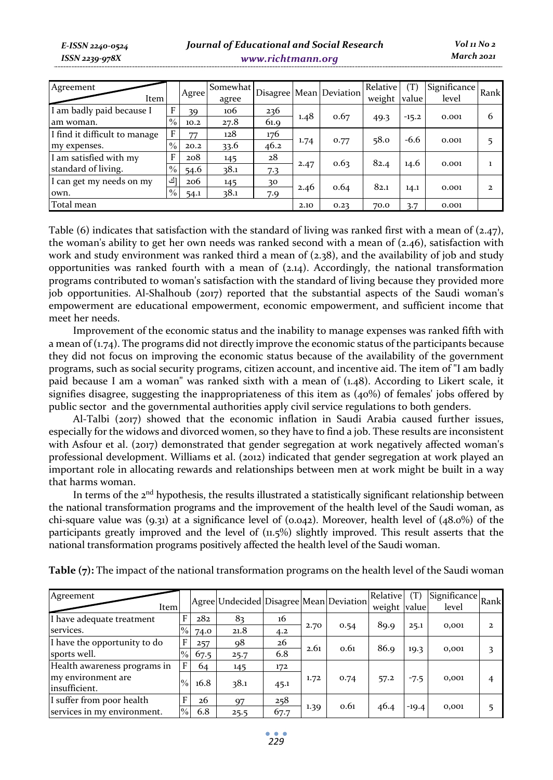*E-ISSN 2240-0524 ISSN 2239-978X*

## *Journal of Educational and Social Research www.richtmann.org*

| Agreement<br>Item             |               | Agree | Somewhat<br>agree |      |      | Disagree Mean Deviation | Relative<br>weight | (T)<br>value | Significance Rank<br>level |   |
|-------------------------------|---------------|-------|-------------------|------|------|-------------------------|--------------------|--------------|----------------------------|---|
| I am badly paid because I     | F             | 39    | 106               | 236  | 1.48 |                         |                    |              |                            | 6 |
| am woman.                     | $\frac{0}{0}$ | 10.2  | 27.8              | 61.9 |      | 0.67                    | 49.3               | $-15.2$      | 0.001                      |   |
| I find it difficult to manage | F             | 77    | 128               | 176  |      |                         | 58.0               | $-6.6$       |                            |   |
| my expenses.                  | $\frac{0}{0}$ | 20.2  | 33.6              | 46.2 | 1.74 | 0.77                    |                    |              | 0.001                      |   |
| I am satisfied with my        | F             | 208   | 145               | 28   |      | 0.63                    | 82.4               |              |                            |   |
| standard of living.           | $\frac{0}{0}$ | 54.6  | 38.1              | 7.3  | 2.47 |                         |                    | 14.6         | 0.001                      |   |
| I can get my needs on my      | [ك            | 206   | 145               | 30   |      |                         | 82.1               |              |                            |   |
| own.                          | $\%$          | 54.1  | 38.1              | 7.9  | 2.46 | 0.64                    |                    | 14.1         | 0.001                      | 2 |
| Total mean                    |               |       |                   | 2.10 | 0.23 | 70.0                    | 3.7                | 0.001        |                            |   |

Table (6) indicates that satisfaction with the standard of living was ranked first with a mean of (2.47), the woman's ability to get her own needs was ranked second with a mean of  $(2.46)$ , satisfaction with work and study environment was ranked third a mean of (2.38), and the availability of job and study opportunities was ranked fourth with a mean of  $(2.14)$ . Accordingly, the national transformation programs contributed to woman's satisfaction with the standard of living because they provided more job opportunities. Al-Shalhoub (2017) reported that the substantial aspects of the Saudi woman's empowerment are educational empowerment, economic empowerment, and sufficient income that meet her needs.

Improvement of the economic status and the inability to manage expenses was ranked fifth with a mean of  $(1.74)$ . The programs did not directly improve the economic status of the participants because they did not focus on improving the economic status because of the availability of the government programs, such as social security programs, citizen account, and incentive aid. The item of "I am badly paid because I am a woman" was ranked sixth with a mean of (1.48). According to Likert scale, it signifies disagree, suggesting the inappropriateness of this item as (40%) of females' jobs offered by public sector and the governmental authorities apply civil service regulations to both genders.

Al-Talbi (2017) showed that the economic inflation in Saudi Arabia caused further issues, especially for the widows and divorced women, so they have to find a job. These results are inconsistent with Asfour et al. (2017) demonstrated that gender segregation at work negatively affected woman's professional development. Williams et al. (2012) indicated that gender segregation at work played an important role in allocating rewards and relationships between men at work might be built in a way that harms woman.

In terms of the  $2<sup>nd</sup>$  hypothesis, the results illustrated a statistically significant relationship between the national transformation programs and the improvement of the health level of the Saudi woman, as chi-square value was  $(9.31)$  at a significance level of  $(0.042)$ . Moreover, health level of  $(48.0\%)$  of the participants greatly improved and the level of (11.5%) slightly improved. This result asserts that the national transformation programs positively affected the health level of the Saudi woman.

| Agreement<br>Item                   |               |      | Agree Undecided Disagree Mean Deviation |      |      |      | Relative<br>weight value | (T)     | Significance Rank<br>level |  |
|-------------------------------------|---------------|------|-----------------------------------------|------|------|------|--------------------------|---------|----------------------------|--|
| I have adequate treatment           | F             | 282  | 83                                      | 16   |      |      |                          |         |                            |  |
| services.                           | $\%$          | 74.0 | 21.8                                    | 4.2  | 2.70 | 0.54 | 89.9                     | 25.1    | 0,001                      |  |
| I have the opportunity to do        | F             | 257  | 98                                      | 26   | 2.61 | 0.61 | 86.9                     |         |                            |  |
| sports well.                        | $\%$          | 67.5 | 25.7                                    | 6.8  |      |      |                          | 19.3    | 0,001                      |  |
| Health awareness programs in        | F             | 64   | 145                                     | 172  |      |      |                          |         |                            |  |
| my environment are<br>insufficient. | $\frac{0}{0}$ | 16.8 | 38.1                                    | 45.1 | 1.72 | 0.74 | 57.2                     | $-7.5$  | 0,001                      |  |
| I suffer from poor health           | F             | 26   | 97                                      | 258  |      | 0.61 |                          |         |                            |  |
| services in my environment.         | $\%$          | 6.8  | 25.5                                    | 67.7 | 1.39 |      | 46.4                     | $-19.4$ | 0,001                      |  |

**Table (7):** The impact of the national transformation programs on the health level of the Saudi woman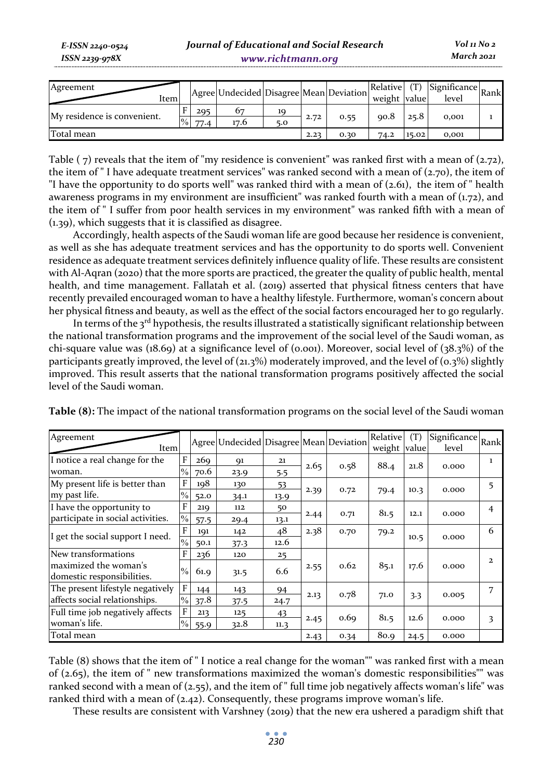*E-ISSN 2240-0524 ISSN 2239-978X*

| Agreement<br>ltem           |               |      | Agree Undecided Disagree Mean Deviation |     |      |      | Relative<br>weight value |       | $(1)$ Significance Rank<br>level |  |
|-----------------------------|---------------|------|-----------------------------------------|-----|------|------|--------------------------|-------|----------------------------------|--|
|                             |               |      |                                         |     |      |      |                          |       |                                  |  |
|                             |               | 295  | 67                                      | 10  |      |      |                          |       |                                  |  |
| My residence is convenient. | $\frac{9}{6}$ | 77.4 | 17.6                                    | 5.0 | 2.72 | 0.55 | 90.8                     | 25.8  | 0,001                            |  |
| Total mean                  |               |      |                                         |     | 2.23 | 0.30 | 74.2                     | 15.02 | 0.001                            |  |

Table ( $7$ ) reveals that the item of "my residence is convenient" was ranked first with a mean of ( $2.72$ ), the item of " I have adequate treatment services" was ranked second with a mean of  $(z,70)$ , the item of "I have the opportunity to do sports well" was ranked third with a mean of (2.61), the item of " health awareness programs in my environment are insufficient" was ranked fourth with a mean of  $(1.72)$ , and the item of " I suffer from poor health services in my environment" was ranked fifth with a mean of (1.39), which suggests that it is classified as disagree.

Accordingly, health aspects of the Saudi woman life are good because her residence is convenient, as well as she has adequate treatment services and has the opportunity to do sports well. Convenient residence as adequate treatment services definitely influence quality of life. These results are consistent with Al-Aqran (2020) that the more sports are practiced, the greater the quality of public health, mental health, and time management. Fallatah et al. (2019) asserted that physical fitness centers that have recently prevailed encouraged woman to have a healthy lifestyle. Furthermore, woman's concern about her physical fitness and beauty, as well as the effect of the social factors encouraged her to go regularly.

In terms of the  $3^{rd}$  hypothesis, the results illustrated a statistically significant relationship between the national transformation programs and the improvement of the social level of the Saudi woman, as chi-square value was (18.69) at a significance level of (0.001). Moreover, social level of  $(38.3%)$  of the participants greatly improved, the level of  $(21.3\%)$  moderately improved, and the level of  $(0.3\%)$  slightly improved. This result asserts that the national transformation programs positively affected the social level of the Saudi woman.

| Agreement<br>Item                                   |               |      | Agree Undecided Disagree Mean Deviation |      |      |      | Relative<br>weight value | (T)  | Significance<br>level | Rank           |
|-----------------------------------------------------|---------------|------|-----------------------------------------|------|------|------|--------------------------|------|-----------------------|----------------|
| I notice a real change for the                      | F             | 269  | 91                                      | 21   | 2.65 | 0.58 | 88.4                     | 21.8 | 0.000                 | $\mathbf{1}$   |
| woman.                                              | $\%$          | 70.6 | 23.9                                    | 5.5  |      |      |                          |      |                       |                |
| My present life is better than                      | F             | 198  | 130                                     | 53   |      |      |                          |      |                       | 5              |
| my past life.                                       | $\%$          | 52.0 | 34.1                                    | 13.9 | 2.39 | 0.72 | 79.4                     | 10.3 | 0.000                 |                |
| I have the opportunity to                           | F             | 219  | 112                                     | 50   |      |      | 81.5                     |      |                       | $\overline{4}$ |
| participate in social activities.                   | $\frac{0}{0}$ | 57.5 | 29.4                                    | 13.1 | 2.44 | 0.71 |                          | 12.1 | 0.000                 |                |
|                                                     | F             | 191  | 142                                     | 48   | 2.38 | 0.70 | 79.2                     | 10.5 | 0.000                 | 6              |
| I get the social support I need.                    | $\frac{0}{0}$ | 50.1 | 37.3                                    | 12.6 |      |      |                          |      |                       |                |
| New transformations                                 | F             | 236  | 120                                     | 25   |      |      |                          |      |                       |                |
| maximized the woman's<br>domestic responsibilities. | $\%$          | 61.9 | 31.5                                    | 6.6  | 2.55 | 0.62 | 85.1                     | 17.6 | 0.000                 | $\mathbf{z}$   |
| The present lifestyle negatively                    | $\mathbf{F}$  | 144  | 143                                     | 94   |      |      |                          |      |                       | 7              |
| affects social relationships.                       | $\%$          | 37.8 | 37.5                                    | 24.7 | 2.13 | 0.78 | 71.0                     | 3.3  | 0.005                 |                |
| Full time job negatively affects                    | F             | 213  | 125                                     | 43   |      |      |                          |      |                       |                |
| woman's life.                                       | $\%$          | 55.9 | 32.8                                    | 11.3 | 2.45 | 0.69 | 81.5                     | 12.6 | 0.000                 | 3              |
| Total mean                                          |               |      |                                         |      | 2.43 | 0.34 | 80.9                     | 24.5 | 0.000                 |                |

**Table (8):** The impact of the national transformation programs on the social level of the Saudi woman

Table (8) shows that the item of " I notice a real change for the woman"" was ranked first with a mean of (2.65), the item of " new transformations maximized the woman's domestic responsibilities"" was ranked second with a mean of (2.55), and the item of " full time job negatively affects woman's life" was ranked third with a mean of  $(2.42)$ . Consequently, these programs improve woman's life.

These results are consistent with Varshney (2019) that the new era ushered a paradigm shift that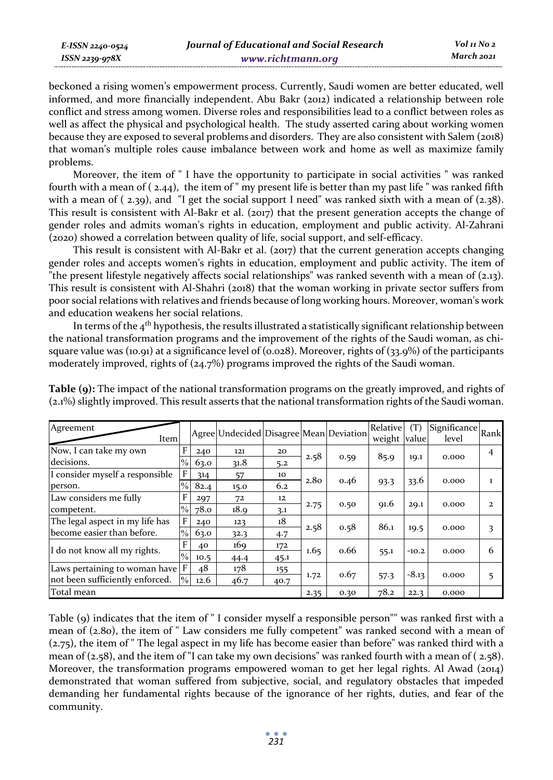beckoned a rising women's empowerment process. Currently, Saudi women are better educated, well informed, and more financially independent. Abu Bakr (2012) indicated a relationship between role conflict and stress among women. Diverse roles and responsibilities lead to a conflict between roles as well as affect the physical and psychological health. The study asserted caring about working women because they are exposed to several problems and disorders. They are also consistent with Salem (2018) that woman's multiple roles cause imbalance between work and home as well as maximize family problems.

Moreover, the item of " I have the opportunity to participate in social activities " was ranked fourth with a mean of ( 2.44), the item of " my present life is better than my past life " was ranked fifth with a mean of  $(2.39)$ , and "I get the social support I need" was ranked sixth with a mean of  $(2.38)$ . This result is consistent with Al-Bakr et al. (2017) that the present generation accepts the change of gender roles and admits woman's rights in education, employment and public activity. Al-Zahrani (2020) showed a correlation between quality of life, social support, and self-efficacy.

This result is consistent with Al-Bakr et al. (2017) that the current generation accepts changing gender roles and accepts women's rights in education, employment and public activity. The item of "the present lifestyle negatively affects social relationships" was ranked seventh with a mean of (2.13). This result is consistent with Al-Shahri (2018) that the woman working in private sector suffers from poor social relations with relatives and friends because of long working hours. Moreover, woman's work and education weakens her social relations.

In terms of the  $4<sup>th</sup>$  hypothesis, the results illustrated a statistically significant relationship between the national transformation programs and the improvement of the rights of the Saudi woman, as chisquare value was (10.91) at a significance level of (0.028). Moreover, rights of (33.9%) of the participants moderately improved, rights of (24.7%) programs improved the rights of the Saudi woman.

| Agreement<br>Item               |               |                       | Agree Undecided Disagree Mean Deviation |      |                  |      | Relative<br>weight value | (T)     | Significance Rank<br>level |              |
|---------------------------------|---------------|-----------------------|-----------------------------------------|------|------------------|------|--------------------------|---------|----------------------------|--------------|
| Now, I can take my own          | F             | 240                   | 121                                     | 20   |                  |      |                          |         |                            | 4            |
| decisions.                      | $\%$          | 63.0                  | 31.8                                    | 5.2  | 2.58             | 0.59 | 85.9                     | 19.1    | 0.000                      |              |
| I consider myself a responsible | F             | 314                   | 57                                      | 10   |                  | 0.46 | 93.3                     | 33.6    | 0.000                      | 1            |
| person.                         | $\frac{0}{0}$ | 82.4                  | 15.0                                    | 6.2  | 2.8 <sub>0</sub> |      |                          |         |                            |              |
| Law considers me fully          | F             | 297                   | 72                                      | 12   |                  | 0.50 | 91.6                     | 29.1    | 0.000                      | $\mathbf{z}$ |
| competent.                      | $\%$          | 78.0                  | 18.9                                    | 3.1  | 2.75             |      |                          |         |                            |              |
| The legal aspect in my life has | $\mathbf{F}$  | 240                   | 123                                     | 18   |                  |      | 86.1                     |         |                            |              |
| become easier than before.      |               | $\frac{0}{0}$<br>63.0 | 32.3                                    | 4.7  | 2.58             | 0.58 |                          | 19.5    | 0.000                      | 3            |
| I do not know all my rights.    | F             | 40                    | 169                                     | 172  |                  | 0.66 | 55.1                     | $-10.2$ | 0.000                      | 6            |
|                                 | $\frac{0}{0}$ | 10.5                  | 44.4                                    | 45.1 | 1.65             |      |                          |         |                            |              |
| Laws pertaining to woman have F |               | 48                    | 178                                     | 155  |                  |      |                          | $-8.13$ | 0.000                      | 5            |
| not been sufficiently enforced. | $\%$          | 12.6                  | 46.7                                    | 40.7 | 1.72             | 0.67 | 57.3                     |         |                            |              |
| Total mean                      |               |                       |                                         |      | 2.35             | 0.30 | 78.2                     | 22.3    | 0.000                      |              |

**Table (9):** The impact of the national transformation programs on the greatly improved, and rights of (2.1%) slightly improved. This result asserts that the national transformation rights of the Saudi woman.

Table (9) indicates that the item of " I consider myself a responsible person"" was ranked first with a mean of (2.80), the item of " Law considers me fully competent" was ranked second with a mean of (2.75), the item of " The legal aspect in my life has become easier than before" was ranked third with a mean of (2.58), and the item of "I can take my own decisions" was ranked fourth with a mean of ( 2.58). Moreover, the transformation programs empowered woman to get her legal rights. Al Awad (2014) demonstrated that woman suffered from subjective, social, and regulatory obstacles that impeded demanding her fundamental rights because of the ignorance of her rights, duties, and fear of the community.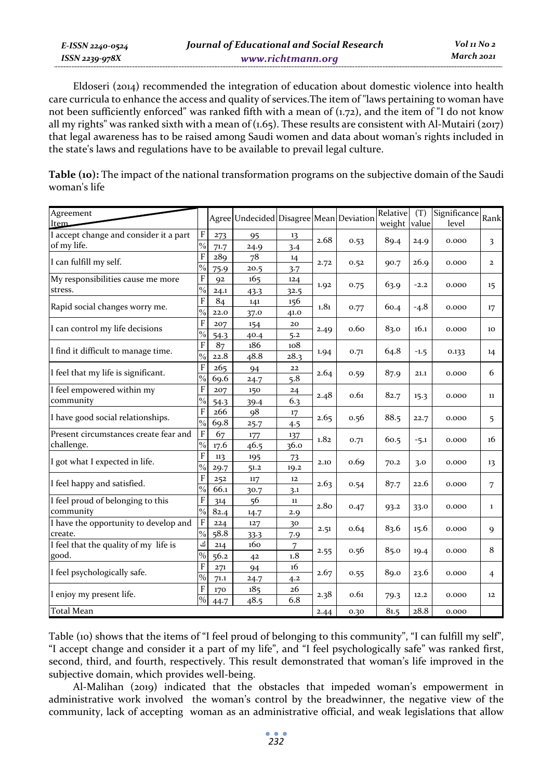*E-ISSN 2240-0524 ISSN 2239-978X Journal of Educational and Social Research www.richtmann.org Vol 11 No 2 March 2021*

Eldoseri (2014) recommended the integration of education about domestic violence into health care curricula to enhance the access and quality of services.The item of "laws pertaining to woman have not been sufficiently enforced" was ranked fifth with a mean of (1.72), and the item of "I do not know all my rights" was ranked sixth with a mean of  $(1.65)$ . These results are consistent with Al-Mutairi (2017) that legal awareness has to be raised among Saudi women and data about woman's rights included in the state's laws and regulations have to be available to prevail legal culture.

**Table (10):** The impact of the national transformation programs on the subjective domain of the Saudi woman's life

| Agreement<br>Item                              |               |      | Agree Undecided Disagree Mean Deviation |      |                  |      | Relative | (T)    | Significance | Rank           |
|------------------------------------------------|---------------|------|-----------------------------------------|------|------------------|------|----------|--------|--------------|----------------|
|                                                |               |      |                                         |      |                  |      | weight   | value  | level        |                |
| I accept change and consider it a part         | F             | 273  | 95                                      | 13   | 2.68             |      |          |        |              |                |
| of my life.                                    |               | 71.7 | 24.9                                    | 3.4  |                  | 0.53 | 89.4     | 24.9   | 0.000        | 3              |
|                                                | F             | 289  | 78                                      | 14   |                  |      |          |        |              |                |
| I can fulfill my self.                         |               | 75.9 | 20.5                                    | 3.7  | 2.72             | 0.52 | 90.7     | 26.9   | 0.000        | $\overline{a}$ |
| My responsibilities cause me more<br>stress.   |               | 92   | 165                                     | 124  | 1.92             | 0.75 | 63.9     | $-2.2$ | 0.000        | $15 \,$        |
|                                                |               | 24.1 | 43.3                                    | 32.5 |                  |      |          |        |              |                |
| Rapid social changes worry me.                 | F             | 84   | 141                                     | 156  | 1.81             | 0.77 | 60.4     | $-4.8$ | 0.000        | 17             |
|                                                | $\frac{0}{0}$ | 22.0 | 37.0                                    | 41.0 |                  |      |          |        |              |                |
| I can control my life decisions                | F             | 207  | 154                                     | 20   | 2.49             | 0.60 | 83.0     | 16.1   | 0.000        | 10             |
|                                                | $\frac{0}{0}$ | 54.3 | 40.4                                    | 5.2  |                  |      |          |        |              |                |
| I find it difficult to manage time.            | F             | 87   | 186                                     | 108  | 1.94             | 0.71 | 64.8     | $-1.5$ | 0.133        | 14             |
|                                                | $\frac{0}{0}$ | 22.8 | 48.8                                    | 28.3 |                  |      |          |        |              |                |
| I feel that my life is significant.            | F             | 265  | 94                                      | 22   | 2.64             | 0.59 | 87.9     | 21.1   | 0.000        | 6              |
|                                                | $\frac{0}{0}$ | 69.6 | 24.7                                    | 5.8  |                  |      |          |        |              |                |
| I feel empowered within my                     | F             | 207  | 150                                     | 24   | 2.48             | 0.61 | 82.7     | 15.3   | 0.000        | 11             |
| community                                      | $\frac{0}{0}$ | 54.3 | 39.4                                    | 6.3  |                  |      |          |        |              |                |
| I have good social relationships.              | F             | 266  | $\alpha$ <sup>8</sup>                   | 17   | 2.65             | 0.56 | 88.5     | 22.7   | 0.000        | 5              |
|                                                | $\frac{0}{0}$ | 69.8 | 25.7                                    | 4.5  |                  |      |          |        |              |                |
| Present circumstances create fear and          | F             | 67   | 177                                     | 137  | 1.82             | 0.71 | 60.5     | $-5.1$ | 0.000        | 16             |
| challenge.                                     |               | 17.6 | 46.5                                    | 36.0 |                  |      |          |        |              |                |
| I got what I expected in life.                 | F             | 113  | 195                                     | 73   | 2.10             | 0.69 | 70.2     | 3.0    | 0.000        | 13             |
|                                                | $\frac{0}{0}$ | 29.7 | 51.2                                    | 19.2 |                  |      |          |        |              |                |
| I feel happy and satisfied.                    | F             | 252  | 117                                     | 12   | 2.63             | 0.54 | 87.7     | 22.6   | 0.000        | 7              |
|                                                | $\frac{0}{0}$ | 66.1 | 30.7                                    | 3.1  |                  |      |          |        |              |                |
| I feel proud of belonging to this<br>community | F             | 314  | 56                                      | 11   | 2.8 <sub>0</sub> | 0.47 | 93.2     | 33.0   | 0.000        | 1              |
|                                                | $\frac{0}{0}$ | 82.4 | 14.7                                    | 2.9  |                  |      |          |        |              |                |
| I have the opportunity to develop and          | $\mathbf{F}$  | 224  | 127                                     | 30   |                  | 0.64 | 83.6     | 15.6   |              |                |
| create.                                        |               | 58.8 | 33.3                                    | 7.9  | 2.51             |      |          |        | 0.000        | $\mathbf Q$    |
| I feel that the quality of my life is          | أف            | 214  | 160                                     | 7    | 2.55             | 0.56 | 85.0     | 19.4   | 0.000        | 8              |
| good.                                          | $\frac{0}{0}$ | 56.2 | 42                                      | 1.8  |                  |      |          |        |              |                |
| I feel psychologically safe.                   | F             | 271  | 94                                      | 16   | 2.67             | 0.55 | 89.0     | 23.6   | 0.000        | $\overline{4}$ |
|                                                |               | 71.1 | 24.7                                    | 4.2  |                  |      |          |        |              |                |
| I enjoy my present life.                       | F             | 170  | 185                                     | 26   | 2.38             | 0.61 |          | 12.2   | 0.000        | 12             |
|                                                |               | 44.7 | 48.5                                    | 6.8  |                  |      | 79.3     |        |              |                |
| <b>Total Mean</b>                              |               |      |                                         |      |                  | 0.30 | 81.5     | 28.8   | 0.000        |                |

Table (10) shows that the items of "I feel proud of belonging to this community", "I can fulfill my self", "I accept change and consider it a part of my life", and "I feel psychologically safe" was ranked first, second, third, and fourth, respectively. This result demonstrated that woman's life improved in the subjective domain, which provides well-being.

Al-Malihan (2019) indicated that the obstacles that impeded woman's empowerment in administrative work involved the woman's control by the breadwinner, the negative view of the community, lack of accepting woman as an administrative official, and weak legislations that allow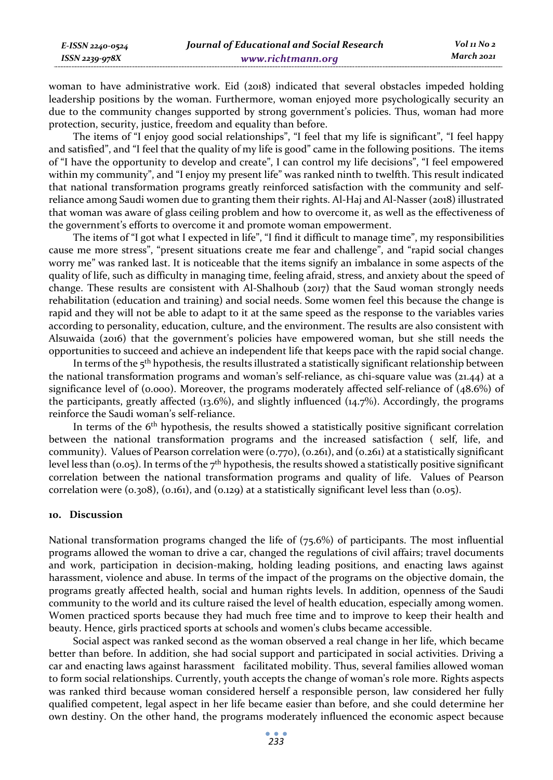woman to have administrative work. Eid (2018) indicated that several obstacles impeded holding leadership positions by the woman. Furthermore, woman enjoyed more psychologically security an due to the community changes supported by strong government's policies. Thus, woman had more protection, security, justice, freedom and equality than before.

The items of "I enjoy good social relationships", "I feel that my life is significant", "I feel happy and satisfied", and "I feel that the quality of my life is good" came in the following positions. The items of "I have the opportunity to develop and create", I can control my life decisions", "I feel empowered within my community", and "I enjoy my present life" was ranked ninth to twelfth. This result indicated that national transformation programs greatly reinforced satisfaction with the community and selfreliance among Saudi women due to granting them their rights. Al-Haj and Al-Nasser (2018) illustrated that woman was aware of glass ceiling problem and how to overcome it, as well as the effectiveness of the government's efforts to overcome it and promote woman empowerment.

The items of "I got what I expected in life", "I find it difficult to manage time", my responsibilities cause me more stress", "present situations create me fear and challenge", and "rapid social changes worry me" was ranked last. It is noticeable that the items signify an imbalance in some aspects of the quality of life, such as difficulty in managing time, feeling afraid, stress, and anxiety about the speed of change. These results are consistent with Al-Shalhoub (2017) that the Saud woman strongly needs rehabilitation (education and training) and social needs. Some women feel this because the change is rapid and they will not be able to adapt to it at the same speed as the response to the variables varies according to personality, education, culture, and the environment. The results are also consistent with Alsuwaida (2016) that the government's policies have empowered woman, but she still needs the opportunities to succeed and achieve an independent life that keeps pace with the rapid social change.

In terms of the  $5<sup>th</sup>$  hypothesis, the results illustrated a statistically significant relationship between the national transformation programs and woman's self-reliance, as chi-square value was (21.44) at a significance level of (0.000). Moreover, the programs moderately affected self-reliance of (48.6%) of the participants, greatly affected (13.6%), and slightly influenced (14.7%). Accordingly, the programs reinforce the Saudi woman's self-reliance.

In terms of the 6<sup>th</sup> hypothesis, the results showed a statistically positive significant correlation between the national transformation programs and the increased satisfaction ( self, life, and community). Values of Pearson correlation were (0.770), (0.261), and (0.261) at a statistically significant level less than (0.05). In terms of the  $7<sup>th</sup>$  hypothesis, the results showed a statistically positive significant correlation between the national transformation programs and quality of life. Values of Pearson correlation were  $(0.308)$ ,  $(0.161)$ , and  $(0.129)$  at a statistically significant level less than  $(0.05)$ .

#### **10. Discussion**

National transformation programs changed the life of (75.6%) of participants. The most influential programs allowed the woman to drive a car, changed the regulations of civil affairs; travel documents and work, participation in decision-making, holding leading positions, and enacting laws against harassment, violence and abuse. In terms of the impact of the programs on the objective domain, the programs greatly affected health, social and human rights levels. In addition, openness of the Saudi community to the world and its culture raised the level of health education, especially among women. Women practiced sports because they had much free time and to improve to keep their health and beauty. Hence, girls practiced sports at schools and women's clubs became accessible.

Social aspect was ranked second as the woman observed a real change in her life, which became better than before. In addition, she had social support and participated in social activities. Driving a car and enacting laws against harassment facilitated mobility. Thus, several families allowed woman to form social relationships. Currently, youth accepts the change of woman's role more. Rights aspects was ranked third because woman considered herself a responsible person, law considered her fully qualified competent, legal aspect in her life became easier than before, and she could determine her own destiny. On the other hand, the programs moderately influenced the economic aspect because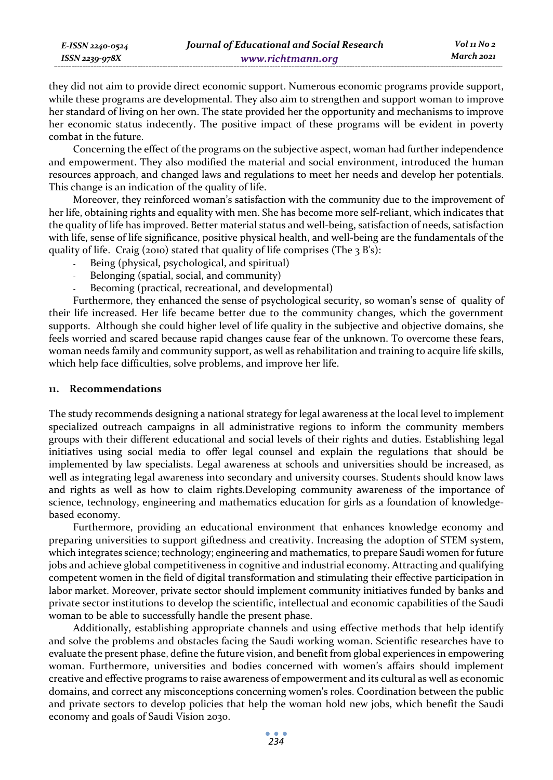they did not aim to provide direct economic support. Numerous economic programs provide support, while these programs are developmental. They also aim to strengthen and support woman to improve her standard of living on her own. The state provided her the opportunity and mechanisms to improve her economic status indecently. The positive impact of these programs will be evident in poverty combat in the future.

Concerning the effect of the programs on the subjective aspect, woman had further independence and empowerment. They also modified the material and social environment, introduced the human resources approach, and changed laws and regulations to meet her needs and develop her potentials. This change is an indication of the quality of life.

Moreover, they reinforced woman's satisfaction with the community due to the improvement of her life, obtaining rights and equality with men. She has become more self-reliant, which indicates that the quality of life has improved. Better material status and well-being, satisfaction of needs, satisfaction with life, sense of life significance, positive physical health, and well-being are the fundamentals of the quality of life. Craig (2010) stated that quality of life comprises (The 3 B's):

- Being (physical, psychological, and spiritual)
- Belonging (spatial, social, and community)
- Becoming (practical, recreational, and developmental)

Furthermore, they enhanced the sense of psychological security, so woman's sense of quality of their life increased. Her life became better due to the community changes, which the government supports. Although she could higher level of life quality in the subjective and objective domains, she feels worried and scared because rapid changes cause fear of the unknown. To overcome these fears, woman needs family and community support, as well as rehabilitation and training to acquire life skills, which help face difficulties, solve problems, and improve her life.

#### **11. Recommendations**

*E-ISSN 2240-0524 ISSN 2239-978X*

The study recommends designing a national strategy for legal awareness at the local level to implement specialized outreach campaigns in all administrative regions to inform the community members groups with their different educational and social levels of their rights and duties. Establishing legal initiatives using social media to offer legal counsel and explain the regulations that should be implemented by law specialists. Legal awareness at schools and universities should be increased, as well as integrating legal awareness into secondary and university courses. Students should know laws and rights as well as how to claim rights.Developing community awareness of the importance of science, technology, engineering and mathematics education for girls as a foundation of knowledgebased economy.

Furthermore, providing an educational environment that enhances knowledge economy and preparing universities to support giftedness and creativity. Increasing the adoption of STEM system, which integrates science; technology; engineering and mathematics, to prepare Saudi women for future jobs and achieve global competitiveness in cognitive and industrial economy. Attracting and qualifying competent women in the field of digital transformation and stimulating their effective participation in labor market. Moreover, private sector should implement community initiatives funded by banks and private sector institutions to develop the scientific, intellectual and economic capabilities of the Saudi woman to be able to successfully handle the present phase.

Additionally, establishing appropriate channels and using effective methods that help identify and solve the problems and obstacles facing the Saudi working woman. Scientific researches have to evaluate the present phase, define the future vision, and benefit from global experiences in empowering woman. Furthermore, universities and bodies concerned with women's affairs should implement creative and effective programs to raise awareness of empowerment and its cultural as well as economic domains, and correct any misconceptions concerning women's roles. Coordination between the public and private sectors to develop policies that help the woman hold new jobs, which benefit the Saudi economy and goals of Saudi Vision 2030.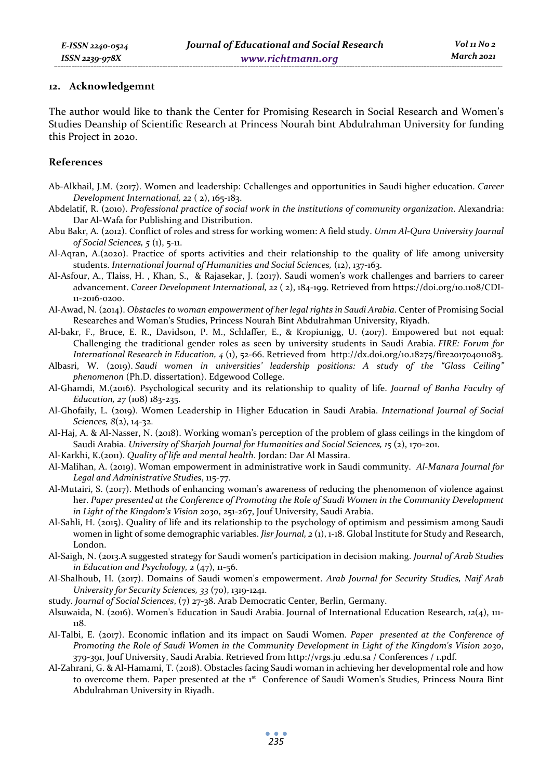#### **12. Acknowledgemnt**

The author would like to thank the Center for Promising Research in Social Research and Women's Studies Deanship of Scientific Research at Princess Nourah bint Abdulrahman University for funding this Project in 2020.

## **References**

- Ab-Alkhail, J.M. (2017). Women and leadership: Cchallenges and opportunities in Saudi higher education. *Career Development International, 22* ( 2), 165-183.
- Abdelatif, R. (2010). *Professional practice of social work in the institutions of community organization*. Alexandria: Dar Al-Wafa for Publishing and Distribution.
- Abu Bakr, A. (2012). Conflict of roles and stress for working women: A field study. *Umm Al-Qura University Journal of Social Sciences, 5* (1), 5-11.
- Al-Aqran, A.(2020). Practice of sports activities and their relationship to the quality of life among university students. *International Journal of Humanities and Social Sciences,* (12), 137-163.
- Al-Asfour, A., Tlaiss, H. , Khan, S., & Rajasekar, J. (2017). Saudi women's work challenges and barriers to career advancement. *Career Development International, 22* ( 2), 184-199. Retrieved from https://doi.org/10.1108/CDI-11-2016-0200.
- Al-Awad, N. (2014). *Obstacles to woman empowerment of her legal rights in Saudi Arabia*. Center of Promising Social Researches and Woman's Studies, Princess Nourah Bint Abdulrahman University, Riyadh.
- Al-bakr, F., Bruce, E. R., Davidson, P. M., Schlaffer, E., & Kropiunigg, U. (2017). Empowered but not equal: Challenging the traditional gender roles as seen by university students in Saudi Arabia. *FIRE: Forum for International Research in Education, 4* (1), 52-66. Retrieved from http://dx.doi.org/10.18275/fire201704011083.
- Albasri, W. (2019). *Saudi women in universities' leadership positions: A study of the "Glass Ceiling" phenomenon* (Ph.D. dissertation). Edgewood College.
- Al-Ghamdi, M.(2016). Psychological security and its relationship to quality of life. *Journal of Banha Faculty of Education, 27* (108) 183-235.
- Al-Ghofaily, L. (2019). Women Leadership in Higher Education in Saudi Arabia. *International Journal of Social Sciences, 8*(2), 14-32.
- Al-Haj, A. & Al-Nasser, N. (2018). Working woman's perception of the problem of glass ceilings in the kingdom of Saudi Arabia. *University of Sharjah Journal for Humanities and Social Sciences, 15* (2), 170-201.
- Al-Karkhi, K.(2011). *Quality of life and mental health*. Jordan: Dar Al Massira.
- Al-Malihan, A. (2019). Woman empowerment in administrative work in Saudi community. *Al-Manara Journal for Legal and Administrative Studies*, 115-77.
- Al-Mutairi, S. (2017). Methods of enhancing woman's awareness of reducing the phenomenon of violence against her. *Paper presented at the Conference of Promoting the Role of Saudi Women in the Community Development in Light of the Kingdom's Vision 2030*, 251-267, Jouf University, Saudi Arabia.
- Al-Sahli, H. (2015). Quality of life and its relationship to the psychology of optimism and pessimism among Saudi women in light of some demographic variables. *Jisr Journal*, 2(1), 1-18. Global Institute for Study and Research, London.
- Al-Saigh, N. (2013.A suggested strategy for Saudi women's participation in decision making. *Journal of Arab Studies in Education and Psychology, 2* (47), 11-56.
- Al-Shalhoub, H. (2017). Domains of Saudi women's empowerment. *Arab Journal for Security Studies, Naif Arab University for Security Sciences, 33* (70), 1319-1241.
- study. *Journal of Social Sciences*, (7) 27-38. Arab Democratic Center, Berlin, Germany.
- Alsuwaida, N. (2016). Women's Education in Saudi Arabia. Journal of International Education Research, *12*(4), 111- 118.
- Al-Talbi, E. (2017). Economic inflation and its impact on Saudi Women. *Paper presented at the Conference of Promoting the Role of Saudi Women in the Community Development in Light of the Kingdom's Vision 2030*, 379-391, Jouf University, Saudi Arabia. Retrieved from http://vrgs.ju .edu.sa / Conferences / 1.pdf.
- Al-Zahrani, G. & Al-Hamami, T. (2018). Obstacles facing Saudi woman in achieving her developmental role and how to overcome them. Paper presented at the 1st Conference of Saudi Women's Studies, Princess Noura Bint Abdulrahman University in Riyadh.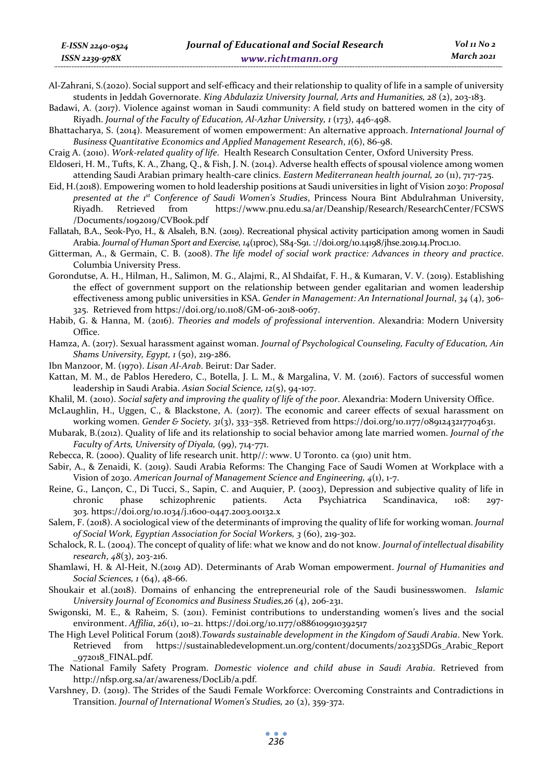- Al-Zahrani, S.(2020). Social support and self-efficacy and their relationship to quality of life in a sample of university students in Jeddah Governorate. *King Abdulaziz University Journal, Arts and Humanities, 28* (2), 203-183.
- Badawi, A. (2017). Violence against woman in Saudi community: A field study on battered women in the city of Riyadh. *Journal of the Faculty of Education, Al-Azhar University, 1* (173), 446-498.
- Bhattacharya, S. (2014). Measurement of women empowerment: An alternative approach. *International Journal of Business Quantitative Economics and Applied Management Research*, *1*(6), 86-98.
- Craig A. (2010). *Work-related quality of life*. Health Research Consultation Center, Oxford University Press.
- Eldoseri, H. M., Tufts, K. A., Zhang, Q., & Fish, J. N. (2014). Adverse health effects of spousal violence among women attending Saudi Arabian primary health-care clinics. *Eastern Mediterranean health journal, 20* (11), 717-725.
- Eid, H.(2018). Empowering women to hold leadership positions at Saudi universities in light of Vision 2030: *Proposal presented at the 1st Conference of Saudi Women's Studies*, Princess Noura Bint Abdulrahman University, Riyadh. Retrieved from https://www.pnu.edu.sa/ar/Deanship/Research/ResearchCenter/FCSWS /Documents/1092019/CVBook.pdf
- Fallatah, B.A., Seok-Pyo, H., & Alsaleh, B.N. (2019). Recreational physical activity participation among women in Saudi Arabia. *Journal of Human Sport and Exercise, 14*(1proc), S84-S91. ://doi.org/10.14198/jhse.2019.14.Proc1.10.
- Gitterman, A., & Germain, C. B. (2008). *The life model of social work practice: Advances in theory and practice*. Columbia University Press.
- Gorondutse, A. H., Hilman, H., Salimon, M. G., Alajmi, R., Al Shdaifat, F. H., & Kumaran, V. V. (2019). Establishing the effect of government support on the relationship between gender egalitarian and women leadership effectiveness among public universities in KSA. *Gender in Management: An International Journal*, *34* (4), 306- 325. Retrieved from https://doi.org/10.1108/GM-06-2018-0067.
- Habib, G. & Hanna, M. (2016). *Theories and models of professional intervention*. Alexandria: Modern University Office.
- Hamza, A. (2017). Sexual harassment against woman. *Journal of Psychological Counseling, Faculty of Education, Ain Shams University, Egypt, 1* (50), 219-286.
- Ibn Manzoor, M. (1970). *Lisan Al-Arab*. Beirut: Dar Sader.
- Kattan, M. M., de Pablos Heredero, C., Botella, J. L. M., & Margalina, V. M. (2016). Factors of successful women leadership in Saudi Arabia. *Asian Social Science, 12*(5), 94-107.
- Khalil, M. (2010). *Social safety and improving the quality of life of the poor*. Alexandria: Modern University Office.
- McLaughlin, H., Uggen, C., & Blackstone, A. (2017). The economic and career effects of sexual harassment on working women. *Gender & Society, 31*(3), 333–358. Retrieved from https://doi.org/10.1177/0891243217704631.
- Mubarak, B.(2012). Quality of life and its relationship to social behavior among late married women. *Journal of the Faculty of Arts, University of Diyala,* (99), 714-771.
- Rebecca, R. (2000). Quality of life research unit. http//: www. U Toronto. ca (910) unit htm.
- Sabir, A., & Zenaidi, K. (2019). Saudi Arabia Reforms: The Changing Face of Saudi Women at Workplace with a Vision of 2030. *American Journal of Management Science and Engineering, 4*(1), 1-7.
- Reine, G., Lançon, C., Di Tucci, S., Sapin, C. and Auquier, P. (2003), Depression and subjective quality of life in chronic phase schizophrenic patients. Acta Psychiatrica Scandinavica, 108: 297- 303. https://doi.org/10.1034/j.1600-0447.2003.00132.x
- Salem, F. (2018). A sociological view of the determinants of improving the quality of life for working woman. *Journal of Social Work, Egyptian Association for Social Workers, 3* (60), 219-302.
- Schalock, R. L. (2004). The concept of quality of life: what we know and do not know. *Journal of intellectual disability research*, *48*(3), 203-216.
- Shamlawi, H. & Al-Heit, N.(2019 AD). Determinants of Arab Woman empowerment. *Journal of Humanities and Social Sciences, 1* (64), 48-66.
- Shoukair et al.(2018). Domains of enhancing the entrepreneurial role of the Saudi businesswomen. *Islamic University Journal of Economics and Business Studies,26* (4), 206-231.
- Swigonski, M. E., & Raheim, S. (2011). Feminist contributions to understanding women's lives and the social environment. *Affilia*, *26*(1), 10–21. https://doi.org/10.1177/0886109910392517
- The High Level Political Forum (2018).*Towards sustainable development in the Kingdom of Saudi Arabia*. New York. Retrieved from https://sustainabledevelopment.un.org/content/documents/20233SDGs\_Arabic\_Report \_972018\_FINAL.pdf.
- The National Family Safety Program. *Domestic violence and child abuse in Saudi Arabia*. Retrieved from http://nfsp.org.sa/ar/awareness/DocLib/a.pdf.
- Varshney, D. (2019). The Strides of the Saudi Female Workforce: Overcoming Constraints and Contradictions in Transition. *Journal of International Women's Studies, 20* (2), 359-372.